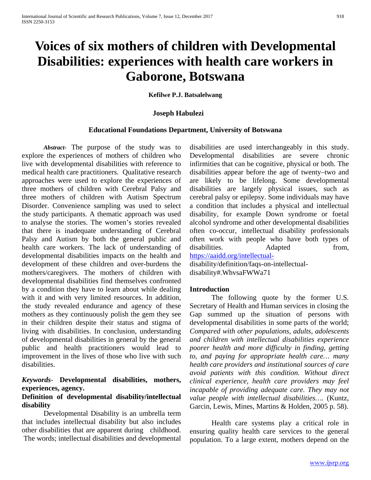# **Voices of six mothers of children with Developmental Disabilities: experiences with health care workers in Gaborone, Botswana**

#### **Kefilwe P.J. Batsalelwang**

#### **Joseph Habulezi**

#### **Educational Foundations Department, University of Botswana**

*Abstract***-** The purpose of the study was to explore the experiences of mothers of children who live with developmental disabilities with reference to medical health care practitioners. Qualitative research approaches were used to explore the experiences of three mothers of children with Cerebral Palsy and three mothers of children with Autism Spectrum Disorder. Convenience sampling was used to select the study participants. A thematic approach was used to analyse the stories. The women's stories revealed that there is inadequate understanding of Cerebral Palsy and Autism by both the general public and health care workers. The lack of understanding of developmental disabilities impacts on the health and development of these children and over-burdens the mothers/caregivers. The mothers of children with developmental disabilities find themselves confronted by a condition they have to learn about while dealing with it and with very limited resources. In addition, the study revealed endurance and agency of these mothers as they continuously polish the gem they see in their children despite their status and stigma of living with disabilities. In conclusion, understanding of developmental disabilities in general by the general public and health practitioners would lead to improvement in the lives of those who live with such disabilities.

# *Keywords*- **Developmental disabilities, mothers, experiences, agency.**

# **Definition of developmental disability/intellectual disability**

Developmental Disability is an umbrella term that includes intellectual disability but also includes other disabilities that are apparent during childhood. The words; intellectual disabilities and developmental disabilities are used interchangeably in this study. Developmental disabilities are severe chronic infirmities that can be cognitive, physical or both. The disabilities appear before the age of twenty–two and are likely to be lifelong. Some developmental disabilities are largely physical issues, such as cerebral palsy or epilepsy. Some individuals may have a condition that includes a physical and intellectual disability, for example Down syndrome or foetal alcohol syndrome and other developmental disabilities often co-occur, intellectual disability professionals often work with people who have both types of disabilities. Adapted from, [https://aaidd.org/intellectual](https://aaidd.org/intellectual-)disability/definition/faqs-on-intellectual-

disability#.WhvsaFWWa71

#### **Introduction**

The following quote by the former U.S. Secretary of Health and Human services in closing the Gap summed up the situation of persons with developmental disabilities in some parts of the world; *Compared with other populations, adults, adolescents and children with intellectual disabilities experience poorer health and more difficulty in finding, getting to, and paying for appropriate health care… many health care providers and institutional sources of care avoid patients with this condition. Without direct clinical experience, health care providers may feel incapable of providing adequate care. They may not value people with intellectual disabilities….* (Kuntz, Garcin, Lewis, Mines, Martins & Holden, 2005 p. 58).

Health care systems play a critical role in ensuring quality health care services to the general population. To a large extent, mothers depend on the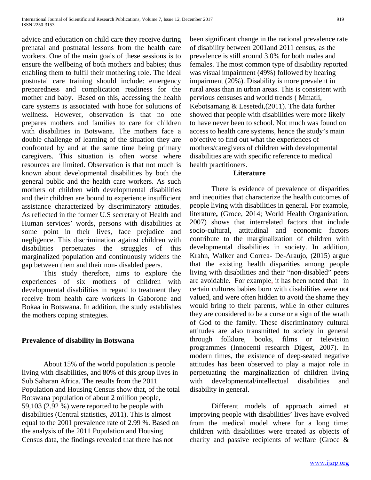advice and education on child care they receive during prenatal and postnatal lessons from the health care workers. One of the main goals of these sessions is to ensure the wellbeing of both mothers and babies; thus enabling them to fulfil their mothering role. The ideal postnatal care training should include: emergency preparedness and complication readiness for the mother and baby. Based on this, accessing the health care systems is associated with hope for solutions of wellness. However, observation is that no one prepares mothers and families to care for children with disabilities in Botswana. The mothers face a double challenge of learning of the situation they are confronted by and at the same time being primary caregivers. This situation is often worse where resources are limited. Observation is that not much is known about developmental disabilities by both the general public and the health care workers. As such mothers of children with developmental disabilities and their children are bound to experience insufficient assistance characterized by discriminatory attitudes. As reflected in the former U.S secretary of Health and Human services' words, persons with disabilities at some point in their lives, face prejudice and negligence. This discrimination against children with disabilities perpetuates the struggles of this marginalized population and continuously widens the gap between them and their non- disabled peers.

This study therefore, aims to explore the experiences of six mothers of children with developmental disabilities in regard to treatment they receive from health care workers in Gaborone and Bokaa in Botswana. In addition, the study establishes the mothers coping strategies.

# **Prevalence of disability in Botswana**

About 15% of the world population is people living with disabilities, and 80% of this group lives in Sub Saharan Africa. The results from the 2011 Population and Housing Census show that, of the total Botswana population of about 2 million people, 59,103 (2.92 %) were reported to be people with disabilities (Central statistics, 2011). This is almost equal to the 2001 prevalence rate of 2.99 %. Based on the analysis of the 2011 Population and Housing Census data, the findings revealed that there has not

been significant change in the national prevalence rate of disability between 2001and 2011 census, as the prevalence is still around 3.0% for both males and females. The most common type of disability reported was visual impairment (49%) followed by hearing impairment (20%). Disability is more prevalent in rural areas than in urban areas. This is consistent with pervious censuses and world trends ( Mmatli, Kebotsamang & Lesetedi,(2011). The data further showed that people with disabilities were more likely to have never been to school. Not much was found on access to health care systems, hence the study's main objective to find out what the experiences of mothers/caregivers of children with developmental disabilities are with specific reference to medical health practitioners.

# **Literature**

There is evidence of prevalence of disparities and inequities that characterize the health outcomes of people living with disabilities in general. For example, literature**,** (Groce, 2014; World Health Organization, 2007) shows that interrelated factors that include socio-cultural, attitudinal and economic factors contribute to the marginalization of children with developmental disabilities in society. In addition, Krahn, Walker and Correa- De-Araujo, (2015) argue that the existing health disparities among people living with disabilities and their "non-disabled" peers are avoidable. For example, it has been noted that in certain cultures babies born with disabilities were not valued, and were often hidden to avoid the shame they would bring to their parents, while in other cultures they are considered to be a curse or a sign of the wrath of God to the family. These discriminatory cultural attitudes are also transmitted to society in general through folklore, books, films or television programmes (Innocenti research Digest, 2007). In modern times, the existence of deep-seated negative attitudes has been observed to play a major role in perpetuating the marginalization of children living with developmental/intellectual disabilities and disability in general.

Different models of approach aimed at improving people with disabilities' lives have evolved from the medical model where for a long time; children with disabilities were treated as objects of charity and passive recipients of welfare (Groce &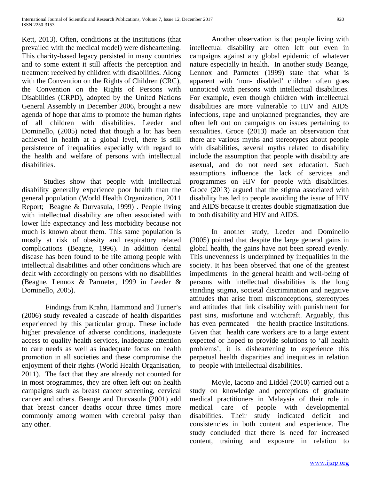Kett, 2013). Often, conditions at the institutions (that prevailed with the medical model) were disheartening. This charity-based legacy persisted in many countries and to some extent it still affects the perception and treatment received by children with disabilities. Along with the Convention on the Rights of Children (CRC), the Convention on the Rights of Persons with Disabilities (CRPD), adopted by the United Nations General Assembly in December 2006, brought a new agenda of hope that aims to promote the human rights of all children with disabilities. Leeder and Dominello, (2005) noted that though a lot has been achieved in health at a global level, there is still persistence of inequalities especially with regard to the health and welfare of persons with intellectual disabilities.

Studies show that people with intellectual disability generally experience poor health than the general population (World Health Organization, 2011 Report; Beagne & Durvasula, 1999) . People living with intellectual disability are often associated with lower life expectancy and less morbidity because not much is known about them. This same population is mostly at risk of obesity and respiratory related complications (Beagne, 1996). In addition dental disease has been found to be rife among people with intellectual disabilities and other conditions which are dealt with accordingly on persons with no disabilities (Beagne, Lennox & Parmeter, 1999 in Leeder & Dominello, 2005).

Findings from Krahn, Hammond and Turner's (2006) study revealed a cascade of health disparities experienced by this particular group. These include higher prevalence of adverse conditions, inadequate access to quality health services, inadequate attention to care needs as well as inadequate focus on health promotion in all societies and these compromise the enjoyment of their rights (World Health Organisation, 2011). The fact that they are already not counted for in most programmes, they are often left out on health campaigns such as breast cancer screening, cervical cancer and others. Beange and Durvasula (2001) add that breast cancer deaths occur three times more commonly among women with cerebral palsy than any other.

Another observation is that people living with intellectual disability are often left out even in campaigns against any global epidemic of whatever nature especially in health. In another study Beange, Lennox and Parmeter (1999) state that what is apparent with 'non- disabled' children often goes unnoticed with persons with intellectual disabilities. For example, even though children with intellectual disabilities are more vulnerable to HIV and AIDS infections, rape and unplanned pregnancies, they are often left out on campaigns on issues pertaining to sexualities. Groce (2013) made an observation that there are various myths and stereotypes about people with disabilities, several myths related to disability include the assumption that people with disability are asexual, and do not need sex education. Such assumptions influence the lack of services and programmes on HIV for people with disabilities. Groce (2013) argued that the stigma associated with disability has led to people avoiding the issue of HIV and AIDS because it creates double stigmatization due to both disability and HIV and AIDS.

In another study, Leeder and Dominello (2005) pointed that despite the large general gains in global health, the gains have not been spread evenly. This unevenness is underpinned by inequalities in the society. It has been observed that one of the greatest impediments in the general health and well-being of persons with intellectual disabilities is the long standing stigma, societal discrimination and negative attitudes that arise from misconceptions, stereotypes and attitudes that link disability with punishment for past sins, misfortune and witchcraft. Arguably, this has even permeated the health practice institutions. Given that health care workers are to a large extent expected or hoped to provide solutions to 'all health problems', it is disheartening to experience this perpetual health disparities and inequities in relation to people with intellectual disabilities.

Moyle, Iacono and Liddel (2010) carried out a study on knowledge and perceptions of graduate medical practitioners in Malaysia of their role in medical care of people with developmental disabilities. Their study indicated deficit and consistencies in both content and experience. The study concluded that there is need for increased content, training and exposure in relation to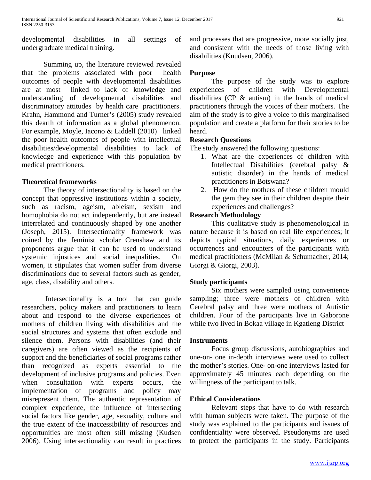developmental disabilities in all settings of undergraduate medical training.

Summing up, the literature reviewed revealed that the problems associated with poor health outcomes of people with developmental disabilities are at most linked to lack of knowledge and understanding of developmental disabilities and discriminatory attitudes by health care practitioners. Krahn, Hammond and Turner's (2005) study revealed this dearth of information as a global phenomenon. For example, Moyle, Iacono & Liddell (2010) linked the poor health outcomes of people with intellectual disabilities/developmental disabilities to lack of knowledge and experience with this population by medical practitioners.

# **Theoretical frameworks**

The theory of intersectionality is based on the concept that oppressive institutions within a society, such as racism, ageism, ableism, sexism and homophobia do not act independently, but are instead interrelated and continuously shaped by one another (Joseph, 2015). Intersectionality framework was coined by the feminist scholar Crenshaw and its proponents argue that it can be used to understand systemic injustices and social inequalities. On women, it stipulates that women suffer from diverse discriminations due to several factors such as gender, age, class, disability and others.

Intersectionality is a tool that can guide researchers, policy makers and practitioners to learn about and respond to the diverse experiences of mothers of children living with disabilities and the social structures and systems that often exclude and silence them. Persons with disabilities (and their caregivers) are often viewed as the recipients of support and the beneficiaries of social programs rather than recognized as experts essential to the development of inclusive programs and policies. Even when consultation with experts occurs, the implementation of programs and policy may misrepresent them. The authentic representation of complex experience, the influence of intersecting social factors like gender, age, sexuality, culture and the true extent of the inaccessibility of resources and opportunities are most often still missing (Kudsen 2006). Using intersectionality can result in practices

and processes that are progressive, more socially just, and consistent with the needs of those living with disabilities (Knudsen, 2006).

# **Purpose**

The purpose of the study was to explore experiences of children with Developmental disabilities (CP & autism) in the hands of medical practitioners through the voices of their mothers. The aim of the study is to give a voice to this marginalised population and create a platform for their stories to be heard.

# **Research Questions**

The study answered the following questions:

- 1. What are the experiences of children with Intellectual Disabilities (cerebral palsy & autistic disorder) in the hands of medical practitioners in Botswana?
- 2. How do the mothers of these children mould the gem they see in their children despite their experiences and challenges?

# **Research Methodology**

This qualitative study is phenomenological in nature because it is based on real life experiences; it depicts typical situations, daily experiences or occurrences and encounters of the participants with medical practitioners (McMilan & Schumacher, 2014; Giorgi & Giorgi, 2003).

# **Study participants**

Six mothers were sampled using convenience sampling; three were mothers of children with Cerebral palsy and three were mothers of Autistic children. Four of the participants live in Gaborone while two lived in Bokaa village in Kgatleng District

#### **Instruments**

Focus group discussions, autobiographies and one-on- one in-depth interviews were used to collect the mother's stories. One- on-one interviews lasted for approximately 45 minutes each depending on the willingness of the participant to talk.

#### **Ethical Considerations**

Relevant steps that have to do with research with human subjects were taken. The purpose of the study was explained to the participants and issues of confidentiality were observed. Pseudonyms are used to protect the participants in the study. Participants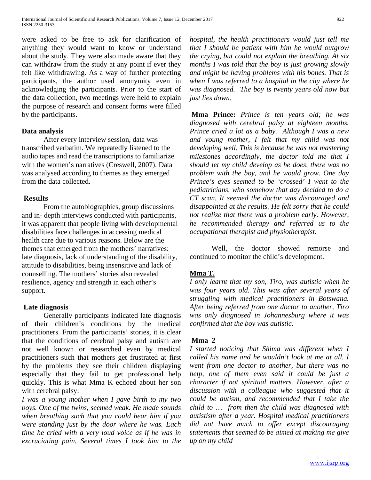were asked to be free to ask for clarification of anything they would want to know or understand about the study. They were also made aware that they can withdraw from the study at any point if ever they felt like withdrawing. As a way of further protecting participants, the author used anonymity even in acknowledging the participants. Prior to the start of the data collection, two meetings were held to explain the purpose of research and consent forms were filled by the participants.

# **Data analysis**

After every interview session, data was transcribed verbatim. We repeatedly listened to the audio tapes and read the transcriptions to familiarize with the women's narratives (Creswell, 2007). Data was analysed according to themes as they emerged from the data collected.

# **Results**

From the autobiographies, group discussions and in- depth interviews conducted with participants, it was apparent that people living with developmental disabilities face challenges in accessing medical health care due to various reasons. Below are the themes that emerged from the mothers' narratives: late diagnosis, lack of understanding of the disability, attitude to disabilities, being insensitive and lack of counselling. The mothers' stories also revealed resilience, agency and strength in each other's support.

#### **Late diagnosis**

Generally participants indicated late diagnosis of their children's conditions by the medical practitioners. From the participants' stories, it is clear that the conditions of cerebral palsy and autism are not well known or researched even by medical practitioners such that mothers get frustrated at first by the problems they see their children displaying especially that they fail to get professional help quickly. This is what Mma K echoed about her son with cerebral palsy:

*I was a young mother when I gave birth to my two boys. One of the twins, seemed weak. He made sounds when breathing such that you could hear him if you were standing just by the door where he was. Each time he cried with a very loud voice as if he was in excruciating pain. Several times I took him to the*  *hospital, the health practitioners would just tell me that I should be patient with him he would outgrow the crying, but could not explain the breathing. At six months I was told that the boy is just growing slowly and might be having problems with his bones. That is when I was referred to a hospital in the city where he was diagnosed. The boy is twenty years old now but just lies down.* 

**Mma Prince:** *Prince is ten years old; he was diagnosed with cerebral palsy at eighteen months. Prince cried a lot as a baby. Although I was a new and young mother, I felt that my child was not developing well. This is because he was not mastering milestones accordingly, the doctor told me that I should let my child develop as he does, there was no problem with the boy, and he would grow. One day Prince's eyes seemed to be 'crossed' I went to the pediatricians, who somehow that day decided to do a CT scan. It seemed the doctor was discouraged and disappointed at the results. He felt sorry that he could not realize that there was a problem early. However, he recommended therapy and referred us to the occupational therapist and physiotherapist.*

Well, the doctor showed remorse and continued to monitor the child's development.

# **Mma T.**

*I only learnt that my son, Tiro, was autistic when he was four years old. This was after several years of struggling with medical practitioners in Botswana. After being referred from one doctor to another, Tiro was only diagnosed in Johannesburg where it was confirmed that the boy was autistic*.

# **Mma 2**

*I started noticing that Shima was different when I called his name and he wouldn't look at me at all. I went from one doctor to another, but there was no help, one of them even said it could be just a character if not spiritual matters. However, after a discussion with a colleague who suggested that it could be autism, and recommended that I take the child to … from then the child was diagnosed with autistism after a year. Hospital medical practitioners did not have much to offer except discouraging statements that seemed to be aimed at making me give up on my child*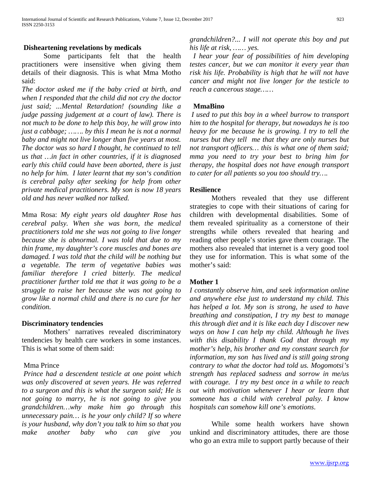#### **Disheartening revelations by medicals**

Some participants felt that the health practitioners were insensitive when giving them details of their diagnosis. This is what Mma Motho said:

*The doctor asked me if the baby cried at birth, and when I responded that the child did not cry the doctor just said; ...Mental Retardation! (sounding like a judge passing judgement at a court of law). There is not much to be done to help this boy, he will grow into just a cabbage; ……. by this I mean he is not a normal baby and might not live longer than five years at most. The doctor was so hard I thought, he continued to tell us that …in fact in other countries, if it is diagnosed early this child could have been aborted, there is just no help for him. I later learnt that my son's condition is cerebral palsy after seeking for help from other private medical practitioners. My son is now 18 years old and has never walked nor talked.*

Mma Rosa: *My eight years old daughter Rose has cerebral palsy. When she was born, the medical practitioners told me she was not going to live longer because she is abnormal. I was told that due to my thin frame, my daughter's core muscles and bones are damaged. I was told that the child will be nothing but a vegetable. The term of vegetative babies was familiar therefore I cried bitterly. The medical practitioner further told me that it was going to be a struggle to raise her because she was not going to grow like a normal child and there is no cure for her condition.*

#### **Discriminatory tendencies**

Mothers' narratives revealed discriminatory tendencies by health care workers in some instances. This is what some of them said:

# Mma Prince

*Prince had a descendent testicle at one point which was only discovered at seven years. He was referred to a surgeon and this is what the surgeon said; He is not going to marry, he is not going to give you grandchildren…why make him go through this unnecessary pain… is he your only child? If so where is your husband, why don't you talk to him so that you make another baby who can give you*  *grandchildren?... I will not operate this boy and put his life at risk, …… yes.*

 *I hear your fear of possibilities of him developing testes cancer, but we can monitor it every year than risk his life. Probability is high that he will not have cancer and might not live longer for the testicle to reach a cancerous stage……*

# **MmaBino**

*I used to put this boy in a wheel burrow to transport him to the hospital for therapy, but nowadays he is too heavy for me because he is growing. I try to tell the nurses but they tell me that they are only nurses but not transport officers… this is what one of them said; mma you need to try your best to bring him for therapy, the hospital does not have enough transport to cater for all patients so you too should try….*

# **Resilience**

Mothers revealed that they use different strategies to cope with their situations of caring for children with developmental disabilities. Some of them revealed spirituality as a cornerstone of their strengths while others revealed that hearing and reading other people's stories gave them courage. The mothers also revealed that internet is a very good tool they use for information. This is what some of the mother's said:

# **Mother 1**

*I constantly observe him, and seek information online and anywhere else just to understand my child. This has helped a lot. My son is strong, he used to have breathing and constipation, I try my best to manage this through diet and it is like each day I discover new ways on how I can help my child. Although he lives with this disability I thank God that through my mother's help, his brother and my constant search for information, my son has lived and is still going strong contrary to what the doctor had told us. Mogomotsi's strength has replaced sadness and sorrow in me/us with courage. I try my best once in a while to reach out with motivation whenever I hear or learn that someone has a child with cerebral palsy. I know hospitals can somehow kill one's emotions*.

While some health workers have shown unkind and discriminatory attitudes, there are those who go an extra mile to support partly because of their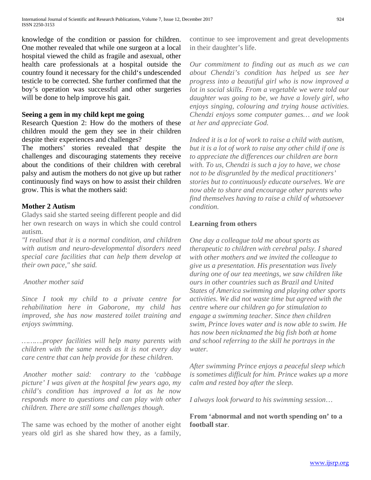knowledge of the condition or passion for children. One mother revealed that while one surgeon at a local hospital viewed the child as fragile and asexual, other health care professionals at a hospital outside the country found it necessary for the child's undescended testicle to be corrected. She further confirmed that the boy's operation was successful and other surgeries will be done to help improve his gait.

# **Seeing a gem in my child kept me going**

Research Question 2: How do the mothers of these children mould the gem they see in their children despite their experiences and challenges?

The mothers' stories revealed that despite the challenges and discouraging statements they receive about the conditions of their children with cerebral palsy and autism the mothers do not give up but rather continuously find ways on how to assist their children grow. This is what the mothers said:

# **Mother 2 Autism**

Gladys said she started seeing different people and did her own research on ways in which she could control autism.

*"I realised that it is a normal condition, and children with autism and neuro-developmental disorders need special care facilities that can help them develop at their own pace," she said.*

# *Another mother said*

*Since I took my child to a private centre for rehabilitation here in Gaborone, my child has improved, she has now mastered toilet training and enjoys swimming.*

*……….proper facilities will help many parents with children with the same needs as it is not every day care centre that can help provide for these children.*

*Another mother said: contrary to the 'cabbage picture' I was given at the hospital few years ago, my child's condition has improved a lot as he now responds more to questions and can play with other children. There are still some challenges though.*

The same was echoed by the mother of another eight years old girl as she shared how they, as a family, continue to see improvement and great developments in their daughter's life.

*Our commitment to finding out as much as we can about Chendzi's condition has helped us see her progress into a beautiful girl who is now improved a lot in social skills. From a vegetable we were told our daughter was going to be, we have a lovely girl, who enjoys singing, colouring and trying house activities. Chendzi enjoys some computer games… and we look at her and appreciate God.*

*Indeed it is a lot of work to raise a child with autism, but it is a lot of work to raise any other child if one is to appreciate the differences our children are born with. To us, Chendzi is such a joy to have, we chose not to be disgruntled by the medical practitioners' stories but to continuously educate ourselves. We are now able to share and encourage other parents who find themselves having to raise a child of whatsoever condition.* 

# **Learning from others**

*One day a colleague told me about sports as therapeutic to children with cerebral palsy. I shared with other mothers and we invited the colleague to give us a presentation. His presentation was lively during one of our tea meetings, we saw children like ours in other countries such as Brazil and United States of America swimming and playing other sports activities. We did not waste time but agreed with the centre where our children go for stimulation to engage a swimming teacher. Since then children swim, Prince loves water and is now able to swim. He has now been nicknamed the big fish both at home and school referring to the skill he portrays in the water.*

*After swimming Prince enjoys a peaceful sleep which is sometimes difficult for him. Prince wakes up a more calm and rested boy after the sleep.*

*I always look forward to his swimming session*…

**From 'abnormal and not worth spending on' to a football star**.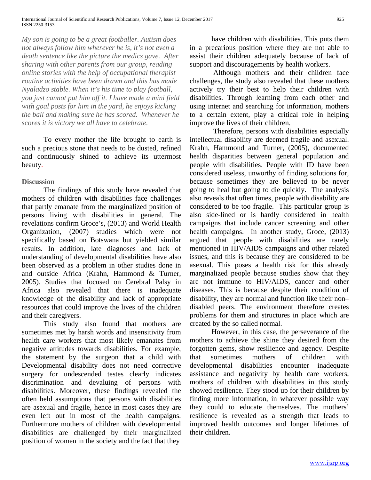*My son is going to be a great footballer. Autism does not always follow him wherever he is, it's not even a death sentence like the picture the medics gave. After sharing with other parents from our group, reading online stories with the help of occupational therapist routine activities have been drawn and this has made Nyaladzo stable. When it's his time to play football, you just cannot put him off it. I have made a mini field with goal posts for him in the yard, he enjoys kicking the ball and making sure he has scored. Whenever he scores it is victory we all have to celebrate.*

To every mother the life brought to earth is such a precious stone that needs to be dusted, refined and continuously shined to achieve its uttermost beauty.

# **Discussion**

The findings of this study have revealed that mothers of children with disabilities face challenges that partly emanate from the marginalized position of persons living with disabilities in general. The revelations confirm Groce's, (2013) and World Health Organization, (2007) studies which were not specifically based on Botswana but yielded similar results. In addition, late diagnoses and lack of understanding of developmental disabilities have also been observed as a problem in other studies done in and outside Africa (Krahn, Hammond & Turner, 2005). Studies that focused on Cerebral Palsy in Africa also revealed that there is inadequate knowledge of the disability and lack of appropriate resources that could improve the lives of the children and their caregivers.

This study also found that mothers are sometimes met by harsh words and insensitivity from health care workers that most likely emanates from negative attitudes towards disabilities. For example, the statement by the surgeon that a child with Developmental disability does not need corrective surgery for undescended testes clearly indicates discrimination and devaluing of persons with disabilities. Moreover, these findings revealed the often held assumptions that persons with disabilities are asexual and fragile, hence in most cases they are even left out in most of the health campaigns. Furthermore mothers of children with developmental disabilities are challenged by their marginalized position of women in the society and the fact that they

have children with disabilities. This puts them in a precarious position where they are not able to assist their children adequately because of lack of support and discouragements by health workers.

Although mothers and their children face challenges, the study also revealed that these mothers actively try their best to help their children with disabilities. Through learning from each other and using internet and searching for information, mothers to a certain extent, play a critical role in helping improve the lives of their children.

Therefore, persons with disabilities especially intellectual disability are deemed fragile and asexual. Krahn, Hammond and Turner, (2005), documented health disparities between general population and people with disabilities. People with ID have been considered useless, unworthy of finding solutions for, because sometimes they are believed to be never going to heal but going to die quickly. The analysis also reveals that often times, people with disability are considered to be too fragile. This particular group is also side-lined or is hardly considered in health campaigns that include cancer screening and other health campaigns. In another study, Groce, (2013) argued that people with disabilities are rarely mentioned in HIV/AIDS campaigns and other related issues, and this is because they are considered to be asexual. This poses a health risk for this already marginalized people because studies show that they are not immune to HIV/AIDS, cancer and other diseases. This is because despite their condition of disability, they are normal and function like their non– disabled peers. The environment therefore creates problems for them and structures in place which are created by the so called normal.

However, in this case, the perseverance of the mothers to achieve the shine they desired from the forgotten gems, show resilience and agency. Despite that sometimes mothers of children with developmental disabilities encounter inadequate assistance and negativity by health care workers, mothers of children with disabilities in this study showed resilience. They stood up for their children by finding more information, in whatever possible way they could to educate themselves. The mothers' resilience is revealed as a strength that leads to improved health outcomes and longer lifetimes of their children.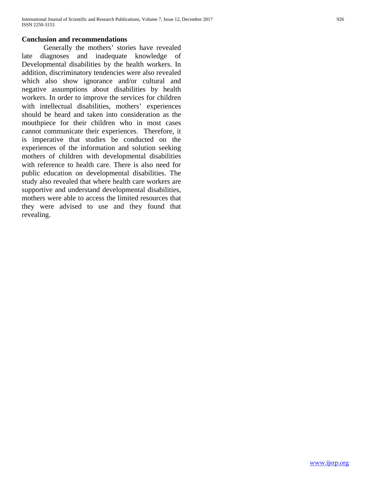#### **Conclusion and recommendations**

Generally the mothers' stories have revealed late diagnoses and inadequate knowledge of Developmental disabilities by the health workers. In addition, discriminatory tendencies were also revealed which also show ignorance and/or cultural and negative assumptions about disabilities by health workers. In order to improve the services for children with intellectual disabilities, mothers' experiences should be heard and taken into consideration as the mouthpiece for their children who in most cases cannot communicate their experiences. Therefore, it is imperative that studies be conducted on the experiences of the information and solution seeking mothers of children with developmental disabilities with reference to health care. There is also need for public education on developmental disabilities. The study also revealed that where health care workers are supportive and understand developmental disabilities, mothers were able to access the limited resources that they were advised to use and they found that revealing.